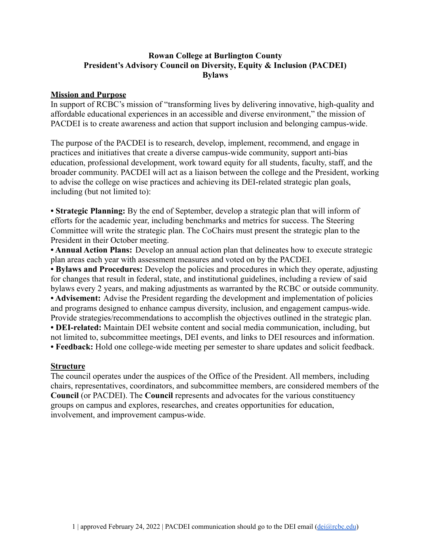## **Rowan College at Burlington County President's Advisory Council on Diversity, Equity & Inclusion (PACDEI) Bylaws**

### **Mission and Purpose**

In support of RCBC's mission of "transforming lives by delivering innovative, high-quality and affordable educational experiences in an accessible and diverse environment," the mission of PACDEI is to create awareness and action that support inclusion and belonging campus-wide.

The purpose of the PACDEI is to research, develop, implement, recommend, and engage in practices and initiatives that create a diverse campus-wide community, support anti-bias education, professional development, work toward equity for all students, faculty, staff, and the broader community. PACDEI will act as a liaison between the college and the President, working to advise the college on wise practices and achieving its DEI-related strategic plan goals, including (but not limited to):

**• Strategic Planning:** By the end of September, develop a strategic plan that will inform of efforts for the academic year, including benchmarks and metrics for success. The Steering Committee will write the strategic plan. The CoChairs must present the strategic plan to the President in their October meeting.

**• Annual Action Plans:** Develop an annual action plan that delineates how to execute strategic plan areas each year with assessment measures and voted on by the PACDEI.

**• Bylaws and Procedures:** Develop the policies and procedures in which they operate, adjusting for changes that result in federal, state, and institutional guidelines, including a review of said bylaws every 2 years, and making adjustments as warranted by the RCBC or outside community. **• Advisement:** Advise the President regarding the development and implementation of policies and programs designed to enhance campus diversity, inclusion, and engagement campus-wide. Provide strategies/recommendations to accomplish the objectives outlined in the strategic plan.

**• DEI-related:** Maintain DEI website content and social media communication, including, but not limited to, subcommittee meetings, DEI events, and links to DEI resources and information. **• Feedback:** Hold one college-wide meeting per semester to share updates and solicit feedback.

#### **Structure**

The council operates under the auspices of the Office of the President. All members, including chairs, representatives, coordinators, and subcommittee members, are considered members of the **Council** (or PACDEI). The **Council** represents and advocates for the various constituency groups on campus and explores, researches, and creates opportunities for education, involvement, and improvement campus-wide.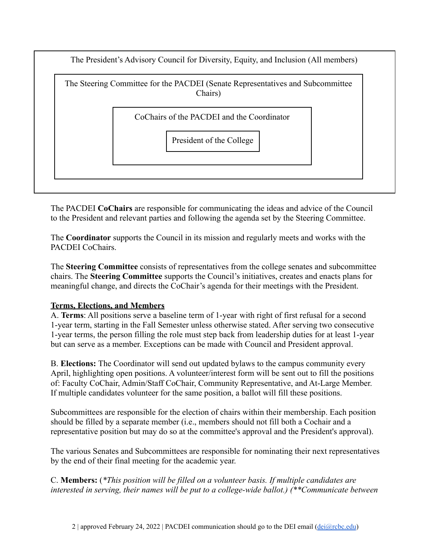The President's Advisory Council for Diversity, Equity, and Inclusion (All members)



The PACDEI **CoChairs** are responsible for communicating the ideas and advice of the Council to the President and relevant parties and following the agenda set by the Steering Committee.

The **Coordinator** supports the Council in its mission and regularly meets and works with the PACDEI CoChairs.

The **Steering Committee** consists of representatives from the college senates and subcommittee chairs. The **Steering Committee** supports the Council's initiatives, creates and enacts plans for meaningful change, and directs the CoChair's agenda for their meetings with the President.

# **Terms, Elections, and Members**

A. **Terms**: All positions serve a baseline term of 1-year with right of first refusal for a second 1-year term, starting in the Fall Semester unless otherwise stated. After serving two consecutive 1-year terms, the person filling the role must step back from leadership duties for at least 1-year but can serve as a member. Exceptions can be made with Council and President approval.

B. **Elections:** The Coordinator will send out updated bylaws to the campus community every April, highlighting open positions. A volunteer/interest form will be sent out to fill the positions of: Faculty CoChair, Admin/Staff CoChair, Community Representative, and At-Large Member. If multiple candidates volunteer for the same position, a ballot will fill these positions.

Subcommittees are responsible for the election of chairs within their membership. Each position should be filled by a separate member (i.e., members should not fill both a Cochair and a representative position but may do so at the committee's approval and the President's approval).

The various Senates and Subcommittees are responsible for nominating their next representatives by the end of their final meeting for the academic year.

C. **Members:** (*\*This position will be filled on a volunteer basis. If multiple candidates are interested in serving, their names will be put to a college-wide ballot.) (\*\*Communicate between*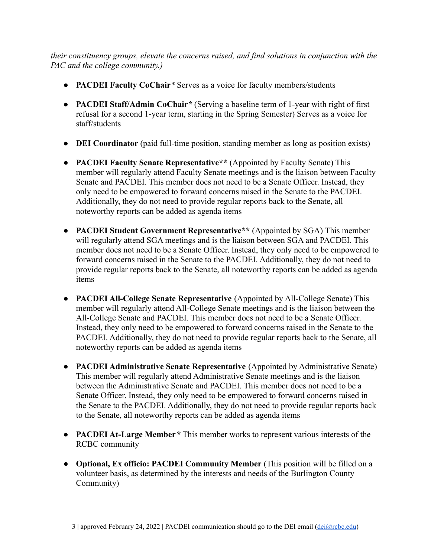*their constituency groups, elevate the concerns raised, and find solutions in conjunction with the PAC and the college community.)*

- **PACDEI Faculty CoChair***\** Serves as a voice for faculty members/students
- **PACDEI Staff/Admin CoChair***\** (Serving a baseline term of 1-year with right of first refusal for a second 1-year term, starting in the Spring Semester) Serves as a voice for staff/students
- **DEI Coordinator** (paid full-time position, standing member as long as position exists)
- **PACDEI Faculty Senate Representative\*\*** (Appointed by Faculty Senate) This member will regularly attend Faculty Senate meetings and is the liaison between Faculty Senate and PACDEI. This member does not need to be a Senate Officer. Instead, they only need to be empowered to forward concerns raised in the Senate to the PACDEI. Additionally, they do not need to provide regular reports back to the Senate, all noteworthy reports can be added as agenda items
- **PACDEI Student Government Representative\*\*** (Appointed by SGA) This member will regularly attend SGA meetings and is the liaison between SGA and PACDEI. This member does not need to be a Senate Officer. Instead, they only need to be empowered to forward concerns raised in the Senate to the PACDEI. Additionally, they do not need to provide regular reports back to the Senate, all noteworthy reports can be added as agenda items
- **● PACDEI All-College Senate Representative** (Appointed by All-College Senate) This member will regularly attend All-College Senate meetings and is the liaison between the All-College Senate and PACDEI. This member does not need to be a Senate Officer. Instead, they only need to be empowered to forward concerns raised in the Senate to the PACDEI. Additionally, they do not need to provide regular reports back to the Senate, all noteworthy reports can be added as agenda items
- **PACDEI Administrative Senate Representative** (Appointed by Administrative Senate) This member will regularly attend Administrative Senate meetings and is the liaison between the Administrative Senate and PACDEI. This member does not need to be a Senate Officer. Instead, they only need to be empowered to forward concerns raised in the Senate to the PACDEI. Additionally, they do not need to provide regular reports back to the Senate, all noteworthy reports can be added as agenda items
- **PACDEI At-Large Member***\** This member works to represent various interests of the RCBC community
- **Optional, Ex officio: PACDEI Community Member** (This position will be filled on a volunteer basis, as determined by the interests and needs of the Burlington County Community)